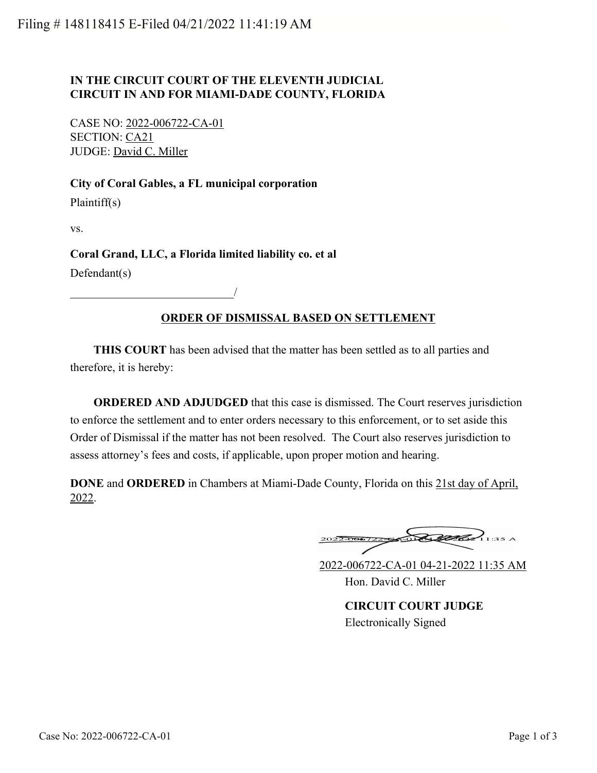# **IN THE CIRCUIT COURT OF THE ELEVENTH JUDICIAL CIRCUIT IN AND FOR MIAMI-DADE COUNTY, FLORIDA**

CASE NO: 2022-006722-CA-01 SECTION: CA21 JUDGE: David C. Miller

\_\_\_\_\_\_\_\_\_\_\_\_\_\_\_\_\_\_\_\_\_\_\_\_\_\_\_\_/

### **City of Coral Gables, a FL municipal corporation**

Plaintiff(s)

vs.

### **Coral Grand, LLC, a Florida limited liability co. et al**

Defendant(s)

# **ORDER OF DISMISSAL BASED ON SETTLEMENT**

 **THIS COURT** has been advised that the matter has been settled as to all parties and therefore, it is hereby:

**ORDERED AND ADJUDGED** that this case is dismissed. The Court reserves jurisdiction to enforce the settlement and to enter orders necessary to this enforcement, or to set aside this Order of Dismissal if the matter has not been resolved. The Court also reserves jurisdiction to assess attorney's fees and costs, if applicable, upon proper motion and hearing.

**DONE** and **ORDERED** in Chambers at Miami-Dade County, Florida on this 21st day of April, 2022.

Red  $11:35A$ 

2022-006722-CA-01 04-21-2022 11:35 AM Hon. David C. Miller

**CIRCUIT COURT JUDGE** Electronically Signed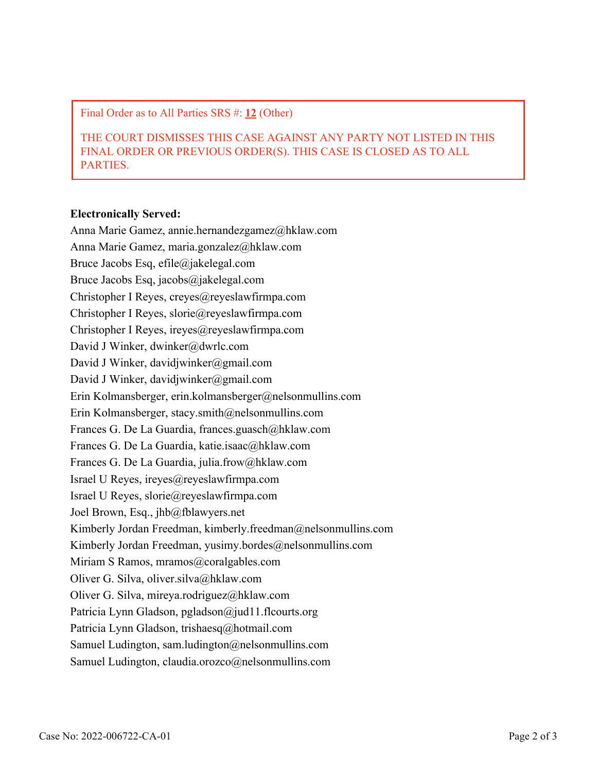Final Order as to All Parties SRS #: **12** (Other)

THE COURT DISMISSES THIS CASE AGAINST ANY PARTY NOT LISTED IN THIS FINAL ORDER OR PREVIOUS ORDER(S). THIS CASE IS CLOSED AS TO ALL PARTIES.

#### **Electronically Served:**

Anna Marie Gamez, annie.hernandezgamez@hklaw.com Anna Marie Gamez, maria.gonzalez@hklaw.com Bruce Jacobs Esq, efile@jakelegal.com Bruce Jacobs Esq, jacobs@jakelegal.com Christopher I Reyes, creyes@reyeslawfirmpa.com Christopher I Reyes, slorie@reyeslawfirmpa.com Christopher I Reyes, ireyes@reyeslawfirmpa.com David J Winker, dwinker@dwrlc.com David J Winker, davidjwinker@gmail.com David J Winker, davidjwinker@gmail.com Erin Kolmansberger, erin.kolmansberger@nelsonmullins.com Erin Kolmansberger, stacy.smith@nelsonmullins.com Frances G. De La Guardia, frances.guasch@hklaw.com Frances G. De La Guardia, katie.isaac@hklaw.com Frances G. De La Guardia, julia.frow@hklaw.com Israel U Reyes, ireyes@reyeslawfirmpa.com Israel U Reyes, slorie@reyeslawfirmpa.com Joel Brown, Esq., jhb@fblawyers.net Kimberly Jordan Freedman, kimberly.freedman@nelsonmullins.com Kimberly Jordan Freedman, yusimy.bordes $@n$ elsonmullins.com Miriam S Ramos, mramos@coralgables.com Oliver G. Silva, oliver.silva@hklaw.com Oliver G. Silva, mireya.rodriguez@hklaw.com Patricia Lynn Gladson, pgladson@jud11.flcourts.org Patricia Lynn Gladson, trishaesq@hotmail.com Samuel Ludington, sam.ludington@nelsonmullins.com Samuel Ludington, claudia.orozco@nelsonmullins.com